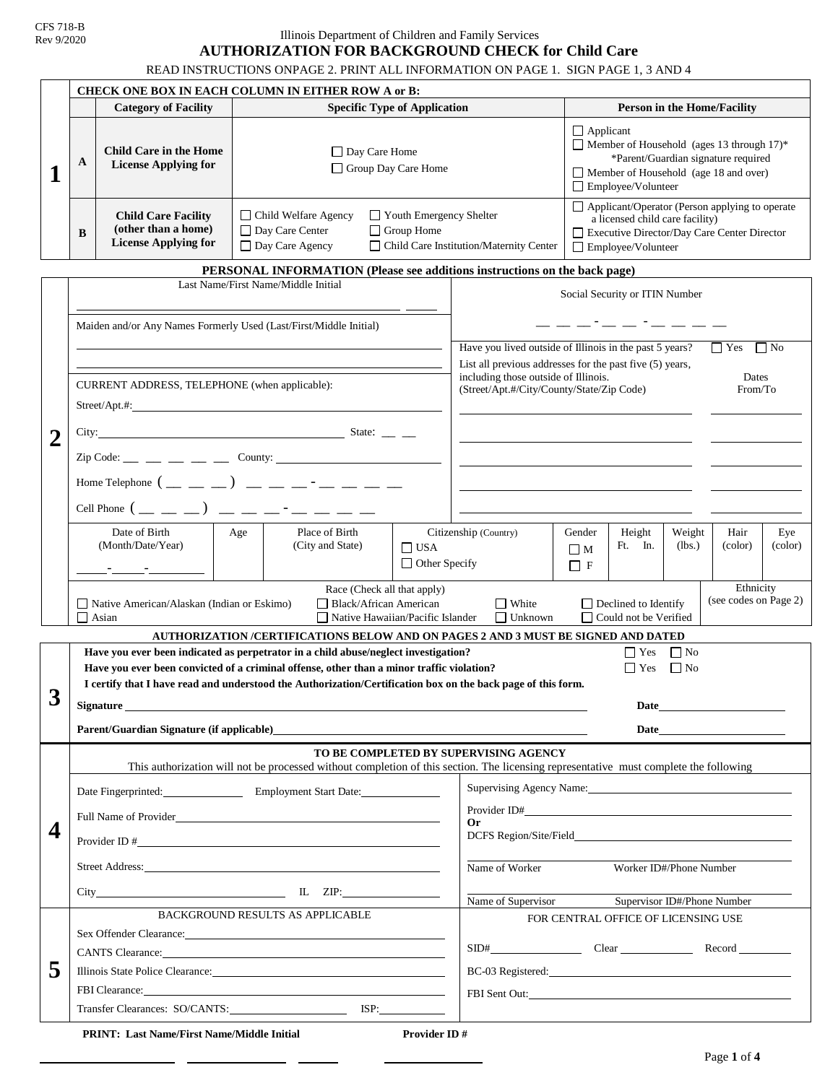CFS 718-B Rev 9/2020

# Illinois Department of Children and Family Services **AUTHORIZATION FOR BACKGROUND CHECK for Child Care**

READ INSTRUCTIONS ONPAGE 2. PRINT ALL INFORMATION ON PAGE 1. SIGN PAGE 1, 3 AND 4

|   | CHECK ONE BOX IN EACH COLUMN IN EITHER ROW A or B:                                                                                                                                                                                                                                                                                                     |                                                                                                                                                                                                                                                                                                    |                                                             |                                                                                             |                                    |                                                                                                                                                                                                                                |                                                                                                                                                                   |                                                                                                                                                                                                                                                          |                   |                  |                 |                |
|---|--------------------------------------------------------------------------------------------------------------------------------------------------------------------------------------------------------------------------------------------------------------------------------------------------------------------------------------------------------|----------------------------------------------------------------------------------------------------------------------------------------------------------------------------------------------------------------------------------------------------------------------------------------------------|-------------------------------------------------------------|---------------------------------------------------------------------------------------------|------------------------------------|--------------------------------------------------------------------------------------------------------------------------------------------------------------------------------------------------------------------------------|-------------------------------------------------------------------------------------------------------------------------------------------------------------------|----------------------------------------------------------------------------------------------------------------------------------------------------------------------------------------------------------------------------------------------------------|-------------------|------------------|-----------------|----------------|
|   | <b>Category of Facility</b><br><b>Specific Type of Application</b>                                                                                                                                                                                                                                                                                     |                                                                                                                                                                                                                                                                                                    |                                                             |                                                                                             | <b>Person in the Home/Facility</b> |                                                                                                                                                                                                                                |                                                                                                                                                                   |                                                                                                                                                                                                                                                          |                   |                  |                 |                |
| Л | A                                                                                                                                                                                                                                                                                                                                                      | <b>Child Care in the Home</b><br><b>License Applying for</b><br><b>Child Care Facility</b>                                                                                                                                                                                                         |                                                             | □ Day Care Home<br>Group Day Care Home<br>□ Child Welfare Agency<br>Youth Emergency Shelter |                                    |                                                                                                                                                                                                                                |                                                                                                                                                                   | $\Box$ Applicant<br>Member of Household (ages 13 through 17)*<br>*Parent/Guardian signature required<br>Member of Household (age 18 and over)<br>Employee/Volunteer<br>Applicant/Operator (Person applying to operate<br>a licensed child care facility) |                   |                  |                 |                |
|   | B                                                                                                                                                                                                                                                                                                                                                      | (other than a home)<br><b>License Applying for</b>                                                                                                                                                                                                                                                 | □ Day Care Center<br>$\Box$ Group Home<br>□ Day Care Agency |                                                                                             |                                    |                                                                                                                                                                                                                                | Executive Director/Day Care Center Director<br>□ Child Care Institution/Maternity Center<br>Employee/Volunteer                                                    |                                                                                                                                                                                                                                                          |                   |                  |                 |                |
|   |                                                                                                                                                                                                                                                                                                                                                        |                                                                                                                                                                                                                                                                                                    |                                                             |                                                                                             |                                    |                                                                                                                                                                                                                                | PERSONAL INFORMATION (Please see additions instructions on the back page)                                                                                         |                                                                                                                                                                                                                                                          |                   |                  |                 |                |
|   | Last Name/First Name/Middle Initial                                                                                                                                                                                                                                                                                                                    |                                                                                                                                                                                                                                                                                                    |                                                             |                                                                                             |                                    | Social Security or ITIN Number                                                                                                                                                                                                 |                                                                                                                                                                   |                                                                                                                                                                                                                                                          |                   |                  |                 |                |
|   | Maiden and/or Any Names Formerly Used (Last/First/Middle Initial)                                                                                                                                                                                                                                                                                      |                                                                                                                                                                                                                                                                                                    |                                                             |                                                                                             |                                    |                                                                                                                                                                                                                                |                                                                                                                                                                   |                                                                                                                                                                                                                                                          |                   |                  |                 |                |
|   |                                                                                                                                                                                                                                                                                                                                                        |                                                                                                                                                                                                                                                                                                    |                                                             |                                                                                             |                                    |                                                                                                                                                                                                                                | Have you lived outside of Illinois in the past 5 years?<br>$\Gamma$ Yes<br>$\Box$ No                                                                              |                                                                                                                                                                                                                                                          |                   |                  |                 |                |
|   | CURRENT ADDRESS, TELEPHONE (when applicable):                                                                                                                                                                                                                                                                                                          |                                                                                                                                                                                                                                                                                                    |                                                             |                                                                                             |                                    |                                                                                                                                                                                                                                | List all previous addresses for the past five (5) years,<br>including those outside of Illinois.<br>Dates<br>(Street/Apt.#/City/County/State/Zip Code)<br>From/To |                                                                                                                                                                                                                                                          |                   |                  |                 |                |
|   |                                                                                                                                                                                                                                                                                                                                                        | City: State: $\_\_$                                                                                                                                                                                                                                                                                |                                                             |                                                                                             |                                    |                                                                                                                                                                                                                                |                                                                                                                                                                   |                                                                                                                                                                                                                                                          |                   |                  |                 |                |
|   |                                                                                                                                                                                                                                                                                                                                                        | $\text{Zip Code:} \_\_ \_\_ \_\_ \_\_ \_\_$ County: $\_\_\_\_\_\_ \_\_ \_\_ \_\_ \_\_ \_\_ \_\_ \_\_ \_\_ \_\_ \_$                                                                                                                                                                                 |                                                             |                                                                                             |                                    |                                                                                                                                                                                                                                |                                                                                                                                                                   |                                                                                                                                                                                                                                                          |                   |                  |                 |                |
|   |                                                                                                                                                                                                                                                                                                                                                        |                                                                                                                                                                                                                                                                                                    |                                                             |                                                                                             |                                    |                                                                                                                                                                                                                                |                                                                                                                                                                   |                                                                                                                                                                                                                                                          |                   |                  |                 |                |
|   |                                                                                                                                                                                                                                                                                                                                                        | Home Telephone $($ __ _ _ _ ) __ _ _ _ _ _ _ _ _                                                                                                                                                                                                                                                   |                                                             |                                                                                             |                                    |                                                                                                                                                                                                                                |                                                                                                                                                                   |                                                                                                                                                                                                                                                          |                   |                  |                 |                |
|   | Cell Phone $($ _ _ _ _ ) _ _ _ _ _ - _ _ _                                                                                                                                                                                                                                                                                                             |                                                                                                                                                                                                                                                                                                    |                                                             |                                                                                             |                                    |                                                                                                                                                                                                                                |                                                                                                                                                                   |                                                                                                                                                                                                                                                          |                   |                  |                 |                |
|   |                                                                                                                                                                                                                                                                                                                                                        | Date of Birth<br>(Month/Date/Year)                                                                                                                                                                                                                                                                 | Age                                                         | Place of Birth<br>(City and State)                                                          | $\Box$ USA<br>$\Box$ Other Specify |                                                                                                                                                                                                                                | Citizenship (Country)                                                                                                                                             | Gender<br>$\Box$ M<br>$\Box$ F                                                                                                                                                                                                                           | Height<br>Ft. In. | Weight<br>(lbs.) | Hair<br>(color) | Eye<br>(color) |
|   |                                                                                                                                                                                                                                                                                                                                                        |                                                                                                                                                                                                                                                                                                    |                                                             |                                                                                             |                                    |                                                                                                                                                                                                                                |                                                                                                                                                                   |                                                                                                                                                                                                                                                          |                   |                  |                 |                |
|   |                                                                                                                                                                                                                                                                                                                                                        | Ethnicity<br>Race (Check all that apply)<br>(see codes on Page 2)<br>$\Box$ White<br>$\Box$ Declined to Identify<br>□ Native American/Alaskan (Indian or Eskimo)<br>Black/African American<br>$\Box$ Unknown<br>□ Could not be Verified<br>$\Box$ Asian<br>$\Box$ Native Hawaiian/Pacific Islander |                                                             |                                                                                             |                                    |                                                                                                                                                                                                                                |                                                                                                                                                                   |                                                                                                                                                                                                                                                          |                   |                  |                 |                |
|   |                                                                                                                                                                                                                                                                                                                                                        |                                                                                                                                                                                                                                                                                                    |                                                             |                                                                                             |                                    |                                                                                                                                                                                                                                | AUTHORIZATION /CERTIFICATIONS BELOW AND ON PAGES 2 AND 3 MUST BE SIGNED AND DATED                                                                                 |                                                                                                                                                                                                                                                          |                   |                  |                 |                |
| ◠ | Have you ever been indicated as perpetrator in a child abuse/neglect investigation?<br>$\Box$ Yes<br>$\Box$ No<br>$\Box$ No<br>Have you ever been convicted of a criminal offense, other than a minor traffic violation?<br>$\Box$ Yes<br>I certify that I have read and understood the Authorization/Certification box on the back page of this form. |                                                                                                                                                                                                                                                                                                    |                                                             |                                                                                             |                                    |                                                                                                                                                                                                                                |                                                                                                                                                                   |                                                                                                                                                                                                                                                          |                   |                  |                 |                |
| J | Signature<br><u>and the state of the state of the state of the state of the state of the state of the state of the state of the state of the state of the state of the state of the state of the state of the state of the state of the state</u>                                                                                                      |                                                                                                                                                                                                                                                                                                    |                                                             |                                                                                             |                                    | Date <u>Date</u>                                                                                                                                                                                                               |                                                                                                                                                                   |                                                                                                                                                                                                                                                          |                   |                  |                 |                |
|   | Parent/Guardian Signature (if applicable)                                                                                                                                                                                                                                                                                                              |                                                                                                                                                                                                                                                                                                    |                                                             |                                                                                             |                                    | Date and the contract of the contract of the contract of the contract of the contract of the contract of the contract of the contract of the contract of the contract of the contract of the contract of the contract of the c |                                                                                                                                                                   |                                                                                                                                                                                                                                                          |                   |                  |                 |                |
|   |                                                                                                                                                                                                                                                                                                                                                        |                                                                                                                                                                                                                                                                                                    |                                                             |                                                                                             |                                    |                                                                                                                                                                                                                                | TO BE COMPLETED BY SUPERVISING AGENCY                                                                                                                             |                                                                                                                                                                                                                                                          |                   |                  |                 |                |
|   |                                                                                                                                                                                                                                                                                                                                                        |                                                                                                                                                                                                                                                                                                    |                                                             |                                                                                             |                                    |                                                                                                                                                                                                                                | This authorization will not be processed without completion of this section. The licensing representative must complete the following                             |                                                                                                                                                                                                                                                          |                   |                  |                 |                |
|   | Date Fingerprinted: Employment Start Date:                                                                                                                                                                                                                                                                                                             |                                                                                                                                                                                                                                                                                                    |                                                             |                                                                                             |                                    | Supervising Agency Name:                                                                                                                                                                                                       |                                                                                                                                                                   |                                                                                                                                                                                                                                                          |                   |                  |                 |                |
|   | Full Name of Provider                                                                                                                                                                                                                                                                                                                                  |                                                                                                                                                                                                                                                                                                    |                                                             |                                                                                             |                                    | Provider ID#                                                                                                                                                                                                                   |                                                                                                                                                                   |                                                                                                                                                                                                                                                          |                   |                  |                 |                |
| 4 |                                                                                                                                                                                                                                                                                                                                                        |                                                                                                                                                                                                                                                                                                    |                                                             |                                                                                             |                                    | Or                                                                                                                                                                                                                             |                                                                                                                                                                   |                                                                                                                                                                                                                                                          |                   |                  |                 |                |
|   |                                                                                                                                                                                                                                                                                                                                                        |                                                                                                                                                                                                                                                                                                    |                                                             |                                                                                             |                                    |                                                                                                                                                                                                                                | Name of Worker<br>Worker ID#/Phone Number                                                                                                                         |                                                                                                                                                                                                                                                          |                   |                  |                 |                |
|   | $City$ $IL$ $ZIP$ :                                                                                                                                                                                                                                                                                                                                    |                                                                                                                                                                                                                                                                                                    |                                                             |                                                                                             |                                    | Name of Supervisor<br>Supervisor ID#/Phone Number                                                                                                                                                                              |                                                                                                                                                                   |                                                                                                                                                                                                                                                          |                   |                  |                 |                |
|   | BACKGROUND RESULTS AS APPLICABLE                                                                                                                                                                                                                                                                                                                       |                                                                                                                                                                                                                                                                                                    |                                                             |                                                                                             |                                    | FOR CENTRAL OFFICE OF LICENSING USE                                                                                                                                                                                            |                                                                                                                                                                   |                                                                                                                                                                                                                                                          |                   |                  |                 |                |
|   |                                                                                                                                                                                                                                                                                                                                                        |                                                                                                                                                                                                                                                                                                    |                                                             |                                                                                             |                                    |                                                                                                                                                                                                                                |                                                                                                                                                                   |                                                                                                                                                                                                                                                          |                   |                  |                 |                |
|   | CANTS Clearance: <u>Canadian Canadian Canadian Canadian Canadian Canadian Canadian Canadian Canadian Canadian Canadian Canadian Canadian Canadian Canadian Canadian Canadian Canadian Canadian Canadian Canadian Canadian Canadi</u>                                                                                                                   |                                                                                                                                                                                                                                                                                                    |                                                             |                                                                                             |                                    |                                                                                                                                                                                                                                |                                                                                                                                                                   |                                                                                                                                                                                                                                                          |                   |                  |                 |                |
| 5 | Illinois State Police Clearance:                                                                                                                                                                                                                                                                                                                       |                                                                                                                                                                                                                                                                                                    |                                                             |                                                                                             |                                    | BC-03 Registered:                                                                                                                                                                                                              |                                                                                                                                                                   |                                                                                                                                                                                                                                                          |                   |                  |                 |                |
|   |                                                                                                                                                                                                                                                                                                                                                        |                                                                                                                                                                                                                                                                                                    |                                                             |                                                                                             |                                    |                                                                                                                                                                                                                                |                                                                                                                                                                   |                                                                                                                                                                                                                                                          |                   |                  |                 |                |
|   |                                                                                                                                                                                                                                                                                                                                                        |                                                                                                                                                                                                                                                                                                    |                                                             |                                                                                             |                                    |                                                                                                                                                                                                                                |                                                                                                                                                                   |                                                                                                                                                                                                                                                          |                   |                  |                 |                |
|   |                                                                                                                                                                                                                                                                                                                                                        | <b>PRINT: Last Name/First Name/Middle Initial</b>                                                                                                                                                                                                                                                  |                                                             |                                                                                             | <b>Provider ID#</b>                |                                                                                                                                                                                                                                |                                                                                                                                                                   |                                                                                                                                                                                                                                                          |                   |                  |                 |                |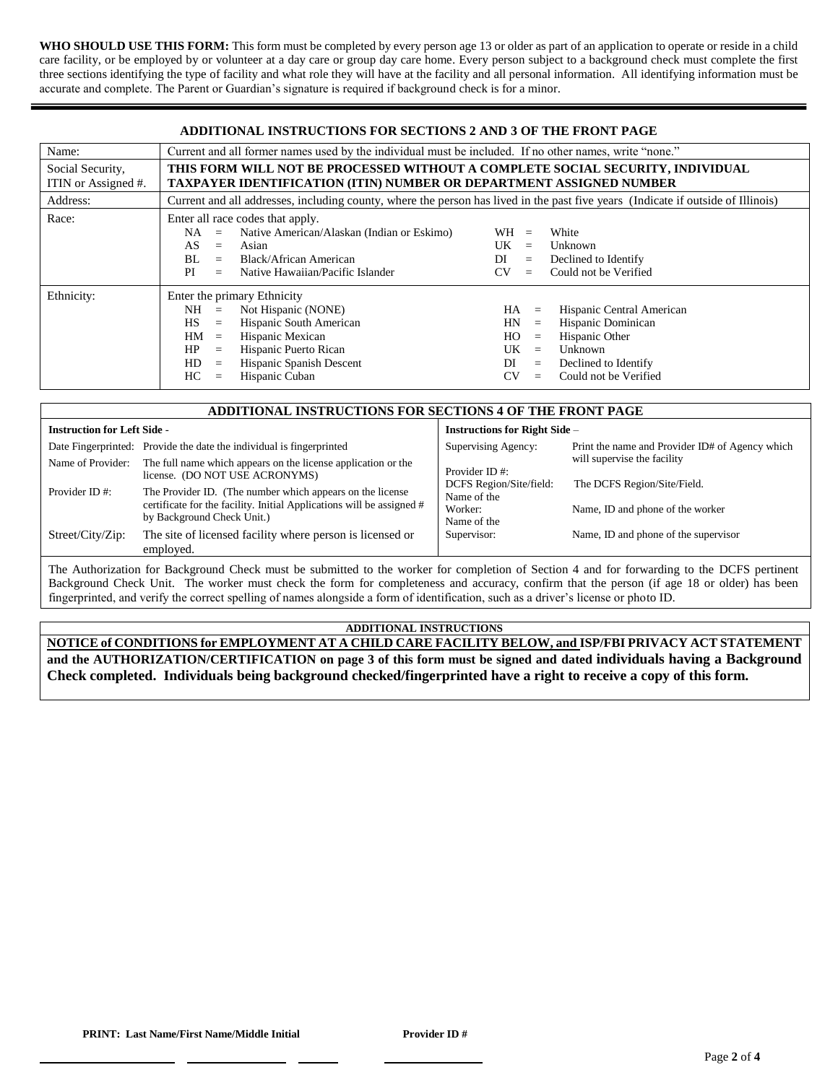WHO SHOULD USE THIS FORM: This form must be completed by every person age 13 or older as part of an application to operate or reside in a child care facility, or be employed by or volunteer at a day care or group day care home. Every person subject to a background check must complete the first three sections identifying the type of facility and what role they will have at the facility and all personal information. All identifying information must be accurate and complete. The Parent or Guardian's signature is required if background check is for a minor.

| <b>ADDITIONAL INSTRUCTIONS FOR SECTIONS 2 AND 3 OF THE FRONT PAGE</b>                                                                                                            |                                                                                                                                  |                                             |  |  |  |  |  |  |
|----------------------------------------------------------------------------------------------------------------------------------------------------------------------------------|----------------------------------------------------------------------------------------------------------------------------------|---------------------------------------------|--|--|--|--|--|--|
| Name:                                                                                                                                                                            | Current and all former names used by the individual must be included. If no other names, write "none."                           |                                             |  |  |  |  |  |  |
| THIS FORM WILL NOT BE PROCESSED WITHOUT A COMPLETE SOCIAL SECURITY, INDIVIDUAL<br>Social Security,<br><b>TAXPAYER IDENTIFICATION (ITIN) NUMBER OR DEPARTMENT ASSIGNED NUMBER</b> |                                                                                                                                  |                                             |  |  |  |  |  |  |
| ITIN or Assigned #.                                                                                                                                                              |                                                                                                                                  |                                             |  |  |  |  |  |  |
| Address:                                                                                                                                                                         | Current and all addresses, including county, where the person has lived in the past five years (Indicate if outside of Illinois) |                                             |  |  |  |  |  |  |
| Race:<br>Enter all race codes that apply.                                                                                                                                        |                                                                                                                                  |                                             |  |  |  |  |  |  |
|                                                                                                                                                                                  | Native American/Alaskan (Indian or Eskimo)<br>NA<br>$=$                                                                          | $WH =$<br>White                             |  |  |  |  |  |  |
|                                                                                                                                                                                  | AS.<br>Asian<br>$\equiv$                                                                                                         | UK<br>Unknown<br>$=$                        |  |  |  |  |  |  |
|                                                                                                                                                                                  | Black/African American<br>BL<br>$=$                                                                                              | DI<br>Declined to Identify<br>$=$           |  |  |  |  |  |  |
|                                                                                                                                                                                  | Native Hawaiian/Pacific Islander<br>PI<br>$=$                                                                                    | Could not be Verified<br><b>CV</b><br>$=$   |  |  |  |  |  |  |
| Ethnicity:                                                                                                                                                                       | Enter the primary Ethnicity                                                                                                      |                                             |  |  |  |  |  |  |
|                                                                                                                                                                                  | Not Hispanic (NONE)<br>NH<br>$\equiv$                                                                                            | Hispanic Central American<br>HA<br>$\equiv$ |  |  |  |  |  |  |
|                                                                                                                                                                                  | Hispanic South American<br>HS<br>$=$                                                                                             | Hispanic Dominican<br>HN<br>$\equiv$        |  |  |  |  |  |  |
|                                                                                                                                                                                  | Hispanic Mexican<br>HM<br>$\equiv$                                                                                               | Hispanic Other<br>HO.<br>$\equiv$           |  |  |  |  |  |  |
|                                                                                                                                                                                  | Hispanic Puerto Rican<br>HP<br>$\equiv$                                                                                          | UK<br>Unknown<br>$\equiv$                   |  |  |  |  |  |  |
|                                                                                                                                                                                  | Hispanic Spanish Descent<br>HD<br>$\equiv$                                                                                       | DI<br>Declined to Identify<br>$=$           |  |  |  |  |  |  |
|                                                                                                                                                                                  | Hispanic Cuban<br>HC.<br>$=$                                                                                                     | Could not be Verified<br>CV<br>$=$          |  |  |  |  |  |  |

| ADDITIONAL INSTRUCTIONS FOR SECTIONS 4 OF THE FRONT PAGE                                                                                    |                                                                                                                                                                  |                                                                  |                                                                                |  |  |  |  |
|---------------------------------------------------------------------------------------------------------------------------------------------|------------------------------------------------------------------------------------------------------------------------------------------------------------------|------------------------------------------------------------------|--------------------------------------------------------------------------------|--|--|--|--|
| <b>Instruction for Left Side -</b>                                                                                                          |                                                                                                                                                                  | <b>Instructions for Right Side -</b>                             |                                                                                |  |  |  |  |
|                                                                                                                                             | Date Fingerprinted: Provide the date the individual is fingerprinted                                                                                             | Supervising Agency:                                              | Print the name and Provider ID# of Agency which<br>will supervise the facility |  |  |  |  |
| Name of Provider:                                                                                                                           | The full name which appears on the license application or the<br>license. (DO NOT USE ACRONYMS)                                                                  | Provider ID#:                                                    | The DCFS Region/Site/Field.<br>Name, ID and phone of the worker                |  |  |  |  |
| Provider ID#:                                                                                                                               | The Provider ID. (The number which appears on the license<br>certificate for the facility. Initial Applications will be assigned #<br>by Background Check Unit.) | DCFS Region/Site/field:<br>Name of the<br>Worker:<br>Name of the |                                                                                |  |  |  |  |
| Street/City/Zip:                                                                                                                            | The site of licensed facility where person is licensed or<br>employed.                                                                                           | Supervisor:                                                      | Name, ID and phone of the supervisor                                           |  |  |  |  |
| The Authorization for Background Check must be submitted to the worker for completion of Section 4 and for forwarding to the DCES pertinent |                                                                                                                                                                  |                                                                  |                                                                                |  |  |  |  |

Ind Check must be submitted to the worker for completion of Section 4 and for forwarding to the Background Check Unit. The worker must check the form for completeness and accuracy, confirm that the person (if age 18 or older) has been fingerprinted, and verify the correct spelling of names alongside a form of identification, such as a driver's license or photo ID.

## **ADDITIONAL INSTRUCTIONS**

**NOTICE of CONDITIONS for EMPLOYMENT AT A CHILD CARE FACILITY BELOW, and ISP/FBI PRIVACY ACT STATEMENT and the AUTHORIZATION/CERTIFICATION on page 3 of this form must be signed and dated individuals having a Background Check completed. Individuals being background checked/fingerprinted have a right to receive a copy of this form.**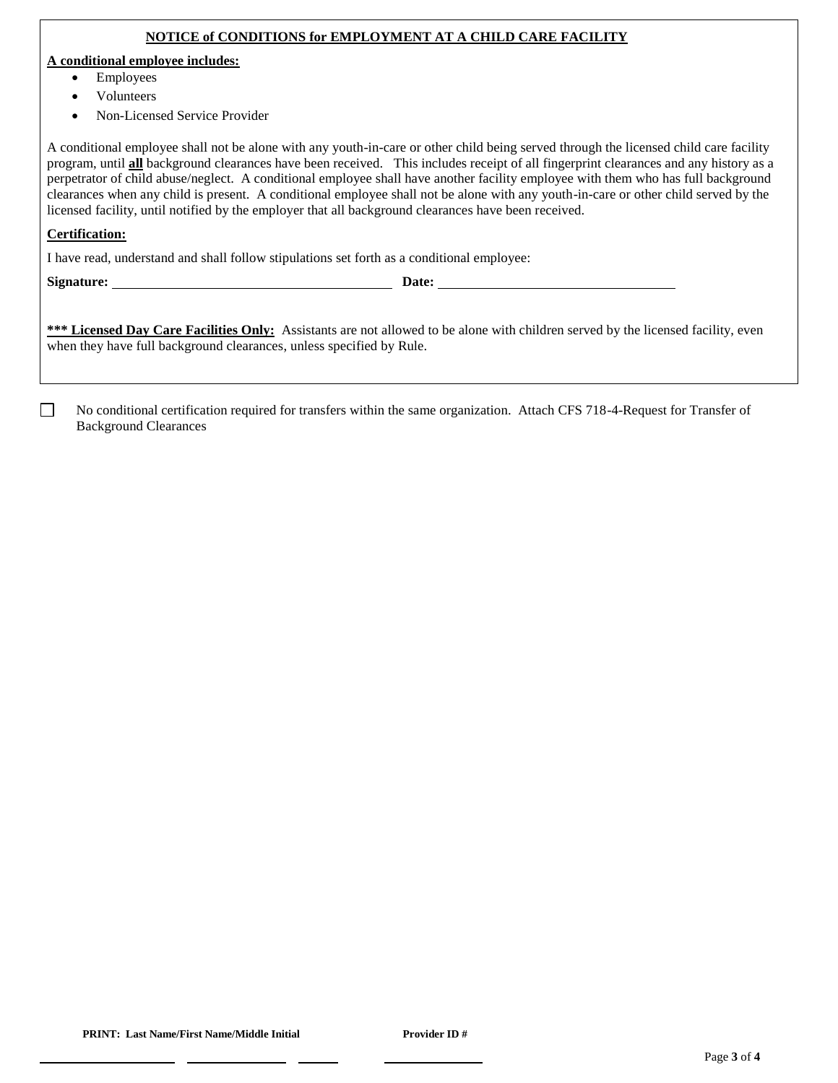#### **NOTICE of CONDITIONS for EMPLOYMENT AT A CHILD CARE FACILITY**

#### **A conditional employee includes:**

- Employees
- Volunteers
- Non-Licensed Service Provider

A conditional employee shall not be alone with any youth-in-care or other child being served through the licensed child care facility program, until **all** background clearances have been received. This includes receipt of all fingerprint clearances and any history as a perpetrator of child abuse/neglect. A conditional employee shall have another facility employee with them who has full background clearances when any child is present. A conditional employee shall not be alone with any youth-in-care or other child served by the licensed facility, until notified by the employer that all background clearances have been received.

#### **Certification:**

I have read, understand and shall follow stipulations set forth as a conditional employee:

П

\*\*\* Licensed Day Care Facilities Only: Assistants are not allowed to be alone with children served by the licensed facility, even when they have full background clearances, unless specified by Rule.

No conditional certification required for transfers within the same organization. Attach CFS 718-4-Request for Transfer of Background Clearances